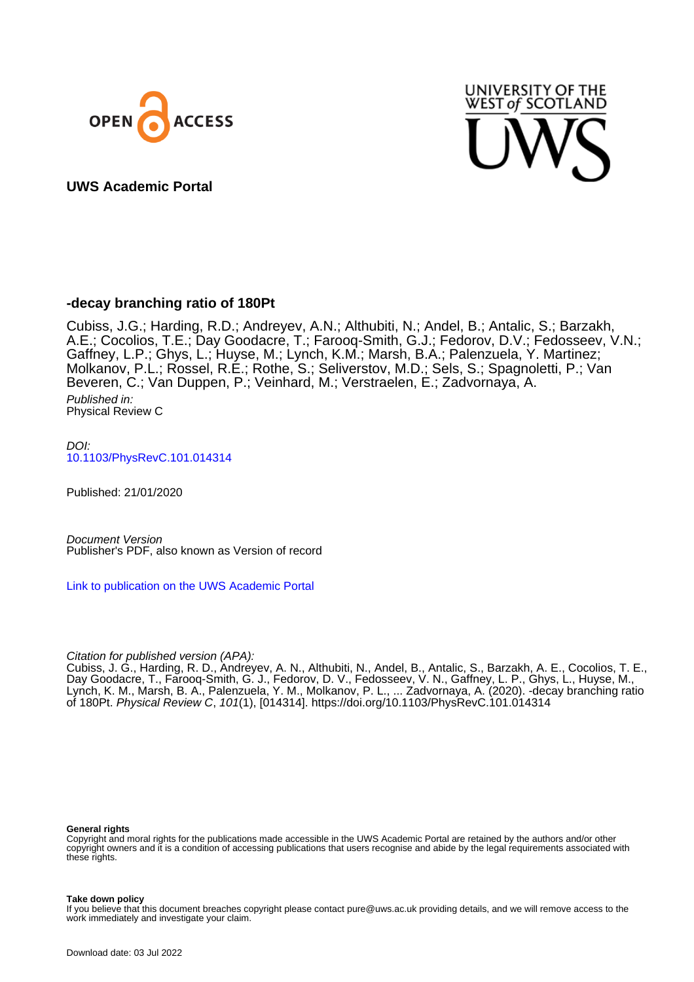



# **UWS Academic Portal**

# **-decay branching ratio of 180Pt**

Cubiss, J.G.; Harding, R.D.; Andreyev, A.N.; Althubiti, N.; Andel, B.; Antalic, S.; Barzakh, A.E.; Cocolios, T.E.; Day Goodacre, T.; Farooq-Smith, G.J.; Fedorov, D.V.; Fedosseev, V.N.; Gaffney, L.P.; Ghys, L.; Huyse, M.; Lynch, K.M.; Marsh, B.A.; Palenzuela, Y. Martinez; Molkanov, P.L.; Rossel, R.E.; Rothe, S.; Seliverstov, M.D.; Sels, S.; Spagnoletti, P.; Van Beveren, C.; Van Duppen, P.; Veinhard, M.; Verstraelen, E.; Zadvornaya, A. Published in: Physical Review C

DOI: [10.1103/PhysRevC.101.014314](https://doi.org/10.1103/PhysRevC.101.014314)

Published: 21/01/2020

Document Version Publisher's PDF, also known as Version of record

[Link to publication on the UWS Academic Portal](https://uws.pure.elsevier.com/en/publications/c4706705-e05c-472c-a6ab-3f890b34e3a6)

# Citation for published version (APA):

Cubiss, J. G., Harding, R. D., Andreyev, A. N., Althubiti, N., Andel, B., Antalic, S., Barzakh, A. E., Cocolios, T. E., Day Goodacre, T., Farooq-Smith, G. J., Fedorov, D. V., Fedosseev, V. N., Gaffney, L. P., Ghys, L., Huyse, M., Lynch, K. M., Marsh, B. A., Palenzuela, Y. M., Molkanov, P. L., ... Zadvornaya, A. (2020). -decay branching ratio of 180Pt. Physical Review C, 101(1), [014314].<https://doi.org/10.1103/PhysRevC.101.014314>

#### **General rights**

Copyright and moral rights for the publications made accessible in the UWS Academic Portal are retained by the authors and/or other copyright owners and it is a condition of accessing publications that users recognise and abide by the legal requirements associated with these rights.

#### **Take down policy**

If you believe that this document breaches copyright please contact pure@uws.ac.uk providing details, and we will remove access to the work immediately and investigate your claim.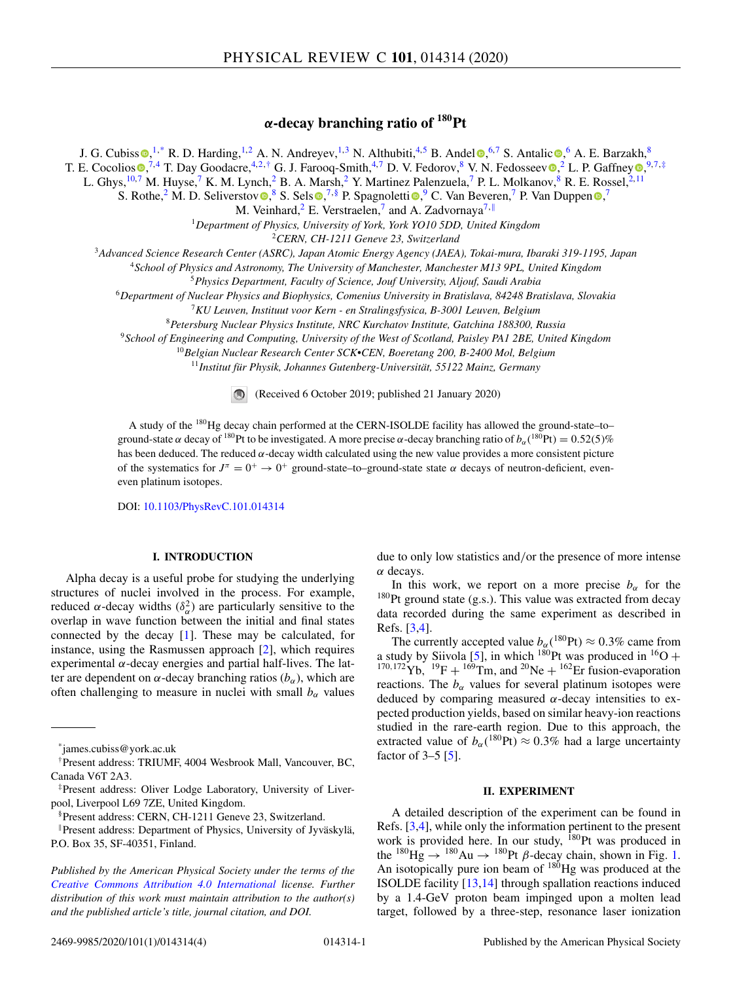# *α***-decay branching ratio of 180Pt**

J. G. Cubiss  $\bigcirc$  $\bigcirc$  $\bigcirc$ [,](https://orcid.org/0000-0002-2034-0358) <sup>1,\*</sup> R. D. Harding, <sup>1,2</sup> A. N. Andreyev, <sup>1,3</sup> N. Althubiti, <sup>4,5</sup> B. Andel  $\bigcirc$ , 6,7 S. Antalic  $\bigcirc$ , 6 A. E. Barzakh, 8 T. E. Cocolio[s](https://orcid.org/0000-0002-0456-7878)  $\bullet$ [,](https://orcid.org/0000-0001-8767-1445)<sup>7,4</sup> T. Da[y](https://orcid.org/0000-0002-2938-3696) Goodacre,<sup>4,2,†</sup> G. J. Farooq-Smith,<sup>4,7</sup> D. V. Fedorov,<sup>8</sup> V. N. Fedosseev  $\bullet$ ,<sup>2</sup> L. P. Gaffney  $\bullet$ ,<sup>9,7,‡</sup> L. Ghys,<sup>10,7</sup> M. Huyse,<sup>7</sup> K. M. Lynch,<sup>2</sup> B. A. Marsh,<sup>2</sup> Y. Martinez Palenzuela,<sup>7</sup> P. L. Molkanov,<sup>8</sup> R. E. Rossel,<sup>2,11</sup>

S. Rothe[,](https://orcid.org/0000-0002-7674-989X) <sup>2</sup> M. D. Seliverstov  $\bullet$ , <sup>8</sup> S. Sels  $\bullet$ , <sup>7, §</sup> P. Spag[n](https://orcid.org/0000-0002-5053-7370)oletti  $\bullet$ , <sup>9</sup> C. Van Beveren, <sup>7</sup> P. Van Duppen  $\bullet$ , <sup>7</sup>

M. Veinhard, $^2$  E. Verstraelen, $^7$  and A. Zadvornaya $^{7,||}$ 

<sup>1</sup>*Department of Physics, University of York, York YO10 5DD, United Kingdom*

<sup>2</sup>*CERN, CH-1211 Geneve 23, Switzerland*

<sup>3</sup>*Advanced Science Research Center (ASRC), Japan Atomic Energy Agency (JAEA), Tokai-mura, Ibaraki 319-1195, Japan*

<sup>4</sup>*School of Physics and Astronomy, The University of Manchester, Manchester M13 9PL, United Kingdom*

<sup>5</sup>*Physics Department, Faculty of Science, Jouf University, Aljouf, Saudi Arabia*

<sup>6</sup>*Department of Nuclear Physics and Biophysics, Comenius University in Bratislava, 84248 Bratislava, Slovakia*

<sup>7</sup>*KU Leuven, Instituut voor Kern - en Stralingsfysica, B-3001 Leuven, Belgium*

<sup>8</sup>*Petersburg Nuclear Physics Institute, NRC Kurchatov Institute, Gatchina 188300, Russia*

<sup>9</sup>*School of Engineering and Computing, University of the West of Scotland, Paisley PA1 2BE, United Kingdom*

<sup>10</sup>*Belgian Nuclear Research Center SCK•CEN, Boeretang 200, B-2400 Mol, Belgium*

<sup>11</sup>*Institut für Physik, Johannes Gutenberg-Universität, 55122 Mainz, Germany*

 $\bigcirc$ (Received 6 October 2019; published 21 January 2020)

A study of the 180Hg decay chain performed at the CERN-ISOLDE facility has allowed the ground-state–to– ground-state  $\alpha$  decay of <sup>180</sup>Pt to be investigated. A more precise  $\alpha$ -decay branching ratio of  $b_\alpha(^{180}Pt) = 0.52(5)\%$ has been deduced. The reduced α-decay width calculated using the new value provides a more consistent picture of the systematics for  $J^{\pi} = 0^+ \rightarrow 0^+$  ground-state–to–ground-state state  $\alpha$  decays of neutron-deficient, eveneven platinum isotopes.

DOI: [10.1103/PhysRevC.101.014314](https://doi.org/10.1103/PhysRevC.101.014314)

## **I. INTRODUCTION**

Alpha decay is a useful probe for studying the underlying structures of nuclei involved in the process. For example, reduced  $\alpha$ -decay widths  $(\delta_{\alpha}^2)$  are particularly sensitive to the overlap in wave function between the initial and final states connected by the decay [\[1\]](#page-4-0). These may be calculated, for instance, using the Rasmussen approach [\[2\]](#page-4-0), which requires experimental  $\alpha$ -decay energies and partial half-lives. The latter are dependent on  $\alpha$ -decay branching ratios ( $b_{\alpha}$ ), which are often challenging to measure in nuclei with small  $b_{\alpha}$  values

due to only low statistics and/or the presence of more intense α decays.

In this work, we report on a more precise  $b_{\alpha}$  for the  $180$ Pt ground state (g.s.). This value was extracted from decay data recorded during the same experiment as described in Refs. [\[3,4\]](#page-4-0).

The currently accepted value  $b_{\alpha}$  (<sup>180</sup>Pt)  $\approx 0.3\%$  came from a study by Siivola [\[5\]](#page-4-0), in which <sup>180</sup>Pt was produced in <sup>16</sup>O +  $^{170,172}$ Yb,  $^{19}F + ^{169}Tm$ , and  $^{20}Ne + ^{162}Er$  fusion-evaporation reactions. The  $b_{\alpha}$  values for several platinum isotopes were deduced by comparing measured  $\alpha$ -decay intensities to expected production yields, based on similar heavy-ion reactions studied in the rare-earth region. Due to this approach, the extracted value of  $b_\alpha(^{180}Pt) \approx 0.3\%$  had a large uncertainty factor of  $3-5$  [\[5\]](#page-4-0).

## **II. EXPERIMENT**

A detailed description of the experiment can be found in Refs. [\[3,4\]](#page-4-0), while only the information pertinent to the present work is provided here. In our study, <sup>180</sup>Pt was produced in the <sup>180</sup>Hg  $\rightarrow$  <sup>180</sup>Au  $\rightarrow$  <sup>180</sup>Pt  $\beta$ -decay chain, shown in Fig. [1.](#page-2-0) An isotopically pure ion beam of  $180$ Hg was produced at the ISOLDE facility [\[13,14\]](#page-4-0) through spallation reactions induced by a 1.4-GeV proton beam impinged upon a molten lead target, followed by a three-step, resonance laser ionization

<sup>\*</sup>james.cubiss@york.ac.uk

<sup>†</sup>Present address: TRIUMF, 4004 Wesbrook Mall, Vancouver, BC, Canada V6T 2A3.

<sup>‡</sup>Present address: Oliver Lodge Laboratory, University of Liverpool, Liverpool L69 7ZE, United Kingdom.

<sup>§</sup>Present address: CERN, CH-1211 Geneve 23, Switzerland.

<sup>-</sup>Present address: Department of Physics, University of Jyväskylä, P.O. Box 35, SF-40351, Finland.

*Published by the American Physical Society under the terms of the [Creative Commons Attribution 4.0 International](https://creativecommons.org/licenses/by/4.0/) license. Further distribution of this work must maintain attribution to the author(s) and the published article's title, journal citation, and DOI.*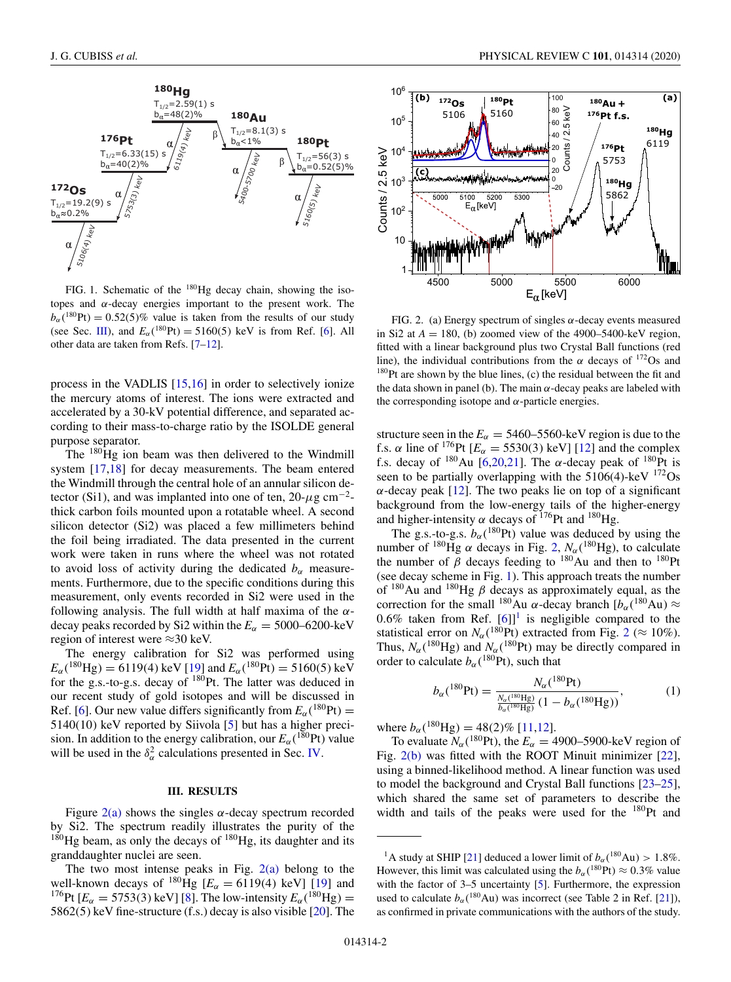<span id="page-2-0"></span>

FIG. 1. Schematic of the  $180$ Hg decay chain, showing the isotopes and  $\alpha$ -decay energies important to the present work. The  $b_\alpha$  (<sup>180</sup>Pt) = 0.52(5)% value is taken from the results of our study (see Sec. III), and  $E_{\alpha}({}^{180}Pt) = 5160(5) \text{ keV}$  is from Ref. [\[6\]](#page-4-0). All other data are taken from Refs. [\[7–12\]](#page-4-0).

process in the VADLIS [\[15,16\]](#page-4-0) in order to selectively ionize the mercury atoms of interest. The ions were extracted and accelerated by a 30-kV potential difference, and separated according to their mass-to-charge ratio by the ISOLDE general purpose separator.

The  $180$ Hg ion beam was then delivered to the Windmill system [\[17,18\]](#page-4-0) for decay measurements. The beam entered the Windmill through the central hole of an annular silicon detector (Si1), and was implanted into one of ten,  $20-\mu g$  cm<sup>-2</sup>thick carbon foils mounted upon a rotatable wheel. A second silicon detector (Si2) was placed a few millimeters behind the foil being irradiated. The data presented in the current work were taken in runs where the wheel was not rotated to avoid loss of activity during the dedicated  $b_\alpha$  measurements. Furthermore, due to the specific conditions during this measurement, only events recorded in Si2 were used in the following analysis. The full width at half maxima of the  $\alpha$ decay peaks recorded by Si2 within the  $E_\alpha = 5000-6200$ -keV region of interest were ≈30 keV.

The energy calibration for Si2 was performed using  $E_{\alpha}$ (<sup>180</sup>Hg) = 6119(4) keV [\[19\]](#page-4-0) and  $E_{\alpha}$ (<sup>180</sup>Pt) = 5160(5) keV for the g.s.-to-g.s. decay of  $180$ Pt. The latter was deduced in our recent study of gold isotopes and will be discussed in Ref. [\[6\]](#page-4-0). Our new value differs significantly from  $E_\alpha(^{180}Pt) =$ 5140(10) keV reported by Siivola [\[5\]](#page-4-0) but has a higher precision. In addition to the energy calibration, our  $E_\alpha(^{180}\text{Pt})$  value will be used in the  $\delta_{\alpha}^2$  calculations presented in Sec. [IV.](#page-3-0)

#### **III. RESULTS**

Figure  $2(a)$  shows the singles  $\alpha$ -decay spectrum recorded by Si2. The spectrum readily illustrates the purity of the  $180$ Hg beam, as only the decays of  $180$ Hg, its daughter and its granddaughter nuclei are seen.

The two most intense peaks in Fig.  $2(a)$  belong to the well-known decays of <sup>180</sup>Hg  $[E_{\alpha} = 6119(4) \text{ keV}]$  [\[19\]](#page-4-0) and <sup>176</sup>Pt [ $E_\alpha = 5753(3)$  keV] [\[8\]](#page-4-0). The low-intensity  $E_\alpha(^{180}Hg) =$ 5862(5) keV fine-structure (f.s.) decay is also visible [\[20\]](#page-4-0). The



FIG. 2. (a) Energy spectrum of singles  $\alpha$ -decay events measured in Si2 at  $A = 180$ , (b) zoomed view of the 4900–5400-keV region, fitted with a linear background plus two Crystal Ball functions (red line), the individual contributions from the  $\alpha$  decays of <sup>172</sup>Os and  $180$ Pt are shown by the blue lines, (c) the residual between the fit and the data shown in panel (b). The main  $\alpha$ -decay peaks are labeled with the corresponding isotope and  $\alpha$ -particle energies.

structure seen in the  $E_\alpha = 5460 - 5560$ -keV region is due to the f.s.  $\alpha$  line of <sup>176</sup>Pt  $[E_{\alpha} = 5530(3) \text{ keV}]$  [\[12\]](#page-4-0) and the complex f.s. decay of  $^{180}$ Au [\[6,20,21\]](#page-4-0). The  $\alpha$ -decay peak of  $^{180}$ Pt is seen to be partially overlapping with the  $5106(4)$ -keV  $172$ Os  $\alpha$ -decay peak [\[12\]](#page-4-0). The two peaks lie on top of a significant background from the low-energy tails of the higher-energy and higher-intensity  $\alpha$  decays of <sup>176</sup>Pt and <sup>180</sup>Hg.

The g.s.-to-g.s.  $b_\alpha$ <sup>(180</sup>Pt) value was deduced by using the number of <sup>180</sup>Hg  $\alpha$  decays in Fig. 2,  $N_{\alpha}$  (<sup>180</sup>Hg), to calculate the number of  $\beta$  decays feeding to <sup>180</sup>Au and then to <sup>180</sup>Pt (see decay scheme in Fig. 1). This approach treats the number of  $180$ Au and  $180$ Hg  $\beta$  decays as approximately equal, as the correction for the small <sup>180</sup>Au  $\alpha$ -decay branch  $[b_{\alpha}({}^{180}Au) \approx$ 0.6% taken from Ref.  $[6]$ <sup>1</sup> is negligible compared to the statistical error on  $N_\alpha$  (<sup>180</sup>Pt) extracted from Fig. 2 ( $\approx 10\%$ ). Thus,  $N_\alpha$ <sup>(180</sup>Hg) and  $N_\alpha$ <sup>(180</sup>Pt) may be directly compared in order to calculate  $b_{\alpha}$  (<sup>180</sup>Pt), such that

$$
b_{\alpha}({}^{180}\text{Pt}) = \frac{N_{\alpha}({}^{180}\text{He})}{\frac{N_{\alpha}({}^{180}\text{He})}{b_{\alpha}({}^{180}\text{He})}(1 - b_{\alpha}({}^{180}\text{He}))},\tag{1}
$$

where  $b_{\alpha}$  (<sup>180</sup>Hg) = 48(2)% [\[11,12\]](#page-4-0).

To evaluate  $N_\alpha$  (<sup>180</sup>Pt), the  $E_\alpha = 4900-5900$ -keV region of Fig. 2(b) was fitted with the ROOT Minuit minimizer [\[22\]](#page-4-0), using a binned-likelihood method. A linear function was used to model the background and Crystal Ball functions [\[23–25\]](#page-4-0), which shared the same set of parameters to describe the width and tails of the peaks were used for the  $180$ Pt and

<sup>&</sup>lt;sup>1</sup>A study at SHIP [\[21\]](#page-4-0) deduced a lower limit of  $b_{\alpha}$  (<sup>180</sup>Au) > 1.8%. However, this limit was calculated using the  $b_\alpha(^{180} \text{Pt}) \approx 0.3\%$  value with the factor of 3–5 uncertainty [\[5\]](#page-4-0). Furthermore, the expression used to calculate  $b_\alpha$  (<sup>180</sup>Au) was incorrect (see Table 2 in Ref. [\[21\]](#page-4-0)), as confirmed in private communications with the authors of the study.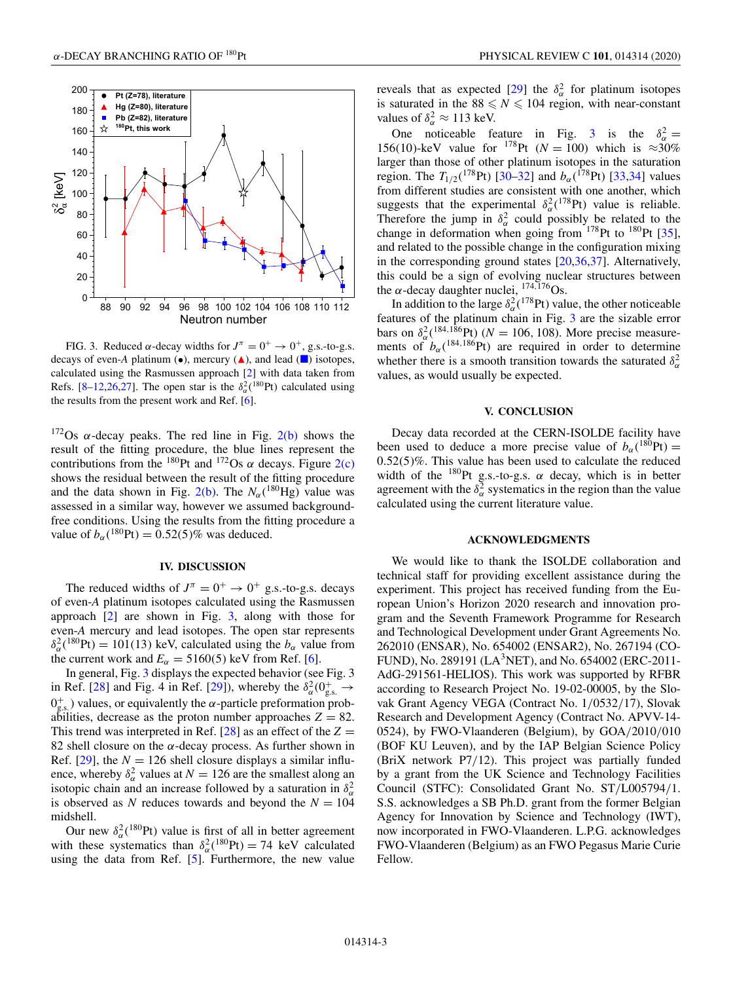<span id="page-3-0"></span>

FIG. 3. Reduced  $\alpha$ -decay widths for  $J^{\pi} = 0^+ \rightarrow 0^+$ , g.s.-to-g.s. decays of even-*A* platinum  $(\bullet)$ , mercury  $(\blacktriangle)$ , and lead  $(\blacksquare)$  isotopes, calculated using the Rasmussen approach [\[2\]](#page-4-0) with data taken from Refs. [\[8–12,26,27\]](#page-4-0). The open star is the  $\delta_{\alpha}^{2}$ (<sup>180</sup>Pt) calculated using the results from the present work and Ref. [\[6\]](#page-4-0).

<sup>172</sup>Os α-decay peaks. The red line in Fig. [2\(b\)](#page-2-0) shows the result of the fitting procedure, the blue lines represent the contributions from the <sup>180</sup>Pt and <sup>172</sup>Os  $\alpha$  decays. Figure [2\(c\)](#page-2-0) shows the residual between the result of the fitting procedure and the data shown in Fig. [2\(b\).](#page-2-0) The  $N_\alpha$ (<sup>180</sup>Hg) value was assessed in a similar way, however we assumed backgroundfree conditions. Using the results from the fitting procedure a value of  $b_{\alpha}({}^{180}Pt) = 0.52(5)\%$  was deduced.

# **IV. DISCUSSION**

The reduced widths of  $J^{\pi} = 0^+ \rightarrow 0^+$  g.s.-to-g.s. decays of even-*A* platinum isotopes calculated using the Rasmussen approach  $[2]$  are shown in Fig. 3, along with those for even-*A* mercury and lead isotopes. The open star represents  $\delta_{\alpha}^{2}$ (<sup>180</sup>Pt) = 101(13) keV, calculated using the *b<sub>α</sub>* value from the current work and  $E_\alpha = 5160(5)$  keV from Ref. [\[6\]](#page-4-0).

In general, Fig. 3 displays the expected behavior (see Fig. 3 in Ref. [\[28\]](#page-4-0) and Fig. 4 in Ref. [\[29\]](#page-4-0)), whereby the  $\delta_{\alpha}^{2}(0_{g.s.}^{+} \rightarrow$  $0<sub>g.s.</sub>$ ) values, or equivalently the  $\alpha$ -particle preformation probabilities, decrease as the proton number approaches  $Z = 82$ . This trend was interpreted in Ref. [\[28\]](#page-4-0) as an effect of the  $Z =$ 82 shell closure on the  $\alpha$ -decay process. As further shown in Ref.  $[29]$ , the  $N = 126$  shell closure displays a similar influence, whereby  $\delta_{\alpha}^2$  values at  $N = 126$  are the smallest along an isotopic chain and an increase followed by a saturation in  $\delta_{\alpha}^2$ is observed as *N* reduces towards and beyond the  $N = 104$ midshell.

Our new  $\delta_{\alpha}^2$ (<sup>180</sup>Pt) value is first of all in better agreement with these systematics than  $\delta_{\alpha}^2({}^{180}Pt) = 74$  keV calculated using the data from Ref. [\[5\]](#page-4-0). Furthermore, the new value

reveals that as expected [\[29\]](#page-4-0) the  $\delta_{\alpha}^2$  for platinum isotopes is saturated in the  $88 \leq N \leq 104$  region, with near-constant values of  $\delta_{\alpha}^2 \approx 113$  keV.

One noticeable feature in Fig. 3 is the  $\delta_{\alpha}^2 =$ 156(10)-keV value for <sup>178</sup>Pt ( $N = 100$ ) which is  $\approx 30\%$ larger than those of other platinum isotopes in the saturation region. The  $T_{1/2}$ (<sup>178</sup>Pt) [\[30–32\]](#page-4-0) and  $b_{\alpha}$ (<sup>178</sup>Pt) [\[33,34\]](#page-4-0) values from different studies are consistent with one another, which suggests that the experimental  $\delta_{\alpha}^2$ (<sup>178</sup>Pt) value is reliable. Therefore the jump in  $\delta_{\alpha}^2$  could possibly be related to the change in deformation when going from  $178$ Pt to  $180$ Pt [\[35\]](#page-4-0), and related to the possible change in the configuration mixing in the corresponding ground states [\[20,36,37\]](#page-4-0). Alternatively, this could be a sign of evolving nuclear structures between the  $\alpha$ -decay daughter nuclei,  $^{174,176}Os.$ 

In addition to the large  $\delta_{\alpha}^2$  (<sup>178</sup>Pt) value, the other noticeable features of the platinum chain in Fig. 3 are the sizable error bars on  $\delta_{\alpha}^2({}^{184,186}_{\alpha}Pt)$  ( $N = 106, 108$ ). More precise measurements of  $b_\alpha$ <sup>(184,186</sup>Pt) are required in order to determine whether there is a smooth transition towards the saturated  $\delta_{\alpha}^2$ values, as would usually be expected.

## **V. CONCLUSION**

Decay data recorded at the CERN-ISOLDE facility have been used to deduce a more precise value of  $b_\alpha(^{180}Pt) =$  $0.52(5)\%$ . This value has been used to calculate the reduced width of the  $^{180}$ Pt g.s.-to-g.s.  $\alpha$  decay, which is in better agreement with the  $\delta_{\alpha}^2$  systematics in the region than the value calculated using the current literature value.

### **ACKNOWLEDGMENTS**

We would like to thank the ISOLDE collaboration and technical staff for providing excellent assistance during the experiment. This project has received funding from the European Union's Horizon 2020 research and innovation program and the Seventh Framework Programme for Research and Technological Development under Grant Agreements No. 262010 (ENSAR), No. 654002 (ENSAR2), No. 267194 (CO-FUND), No. 289191 (LA3NET), and No. 654002 (ERC-2011- AdG-291561-HELIOS). This work was supported by RFBR according to Research Project No. 19-02-00005, by the Slovak Grant Agency VEGA (Contract No. 1/0532/17), Slovak Research and Development Agency (Contract No. APVV-14- 0524), by FWO-Vlaanderen (Belgium), by GOA/2010/010 (BOF KU Leuven), and by the IAP Belgian Science Policy (BriX network P7/12). This project was partially funded by a grant from the UK Science and Technology Facilities Council (STFC): Consolidated Grant No. ST/L005794/1. S.S. acknowledges a SB Ph.D. grant from the former Belgian Agency for Innovation by Science and Technology (IWT), now incorporated in FWO-Vlaanderen. L.P.G. acknowledges FWO-Vlaanderen (Belgium) as an FWO Pegasus Marie Curie Fellow.